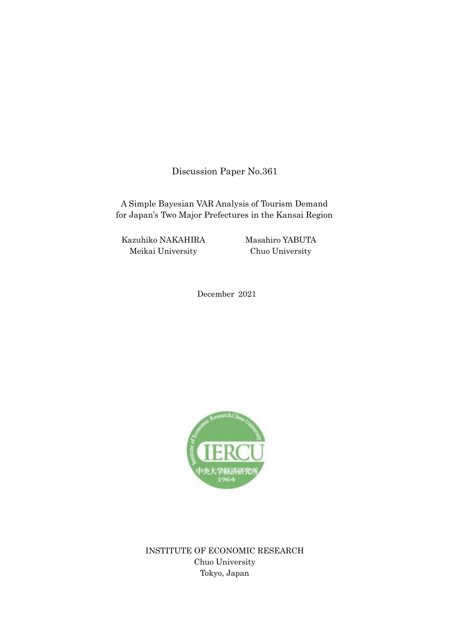Discussion Paper No.361

A Simple Bayesian VAR Analysis of Tourism Demand for Japan's Two Major Prefectures in the Kansai Region

Kazuhiko NAKAHIRA Meikai University

Masahiro YABUTA Chuo University

December 2021



INSTITUTE OF ECONOMIC RESEARCH Chuo University Tokyo, Japan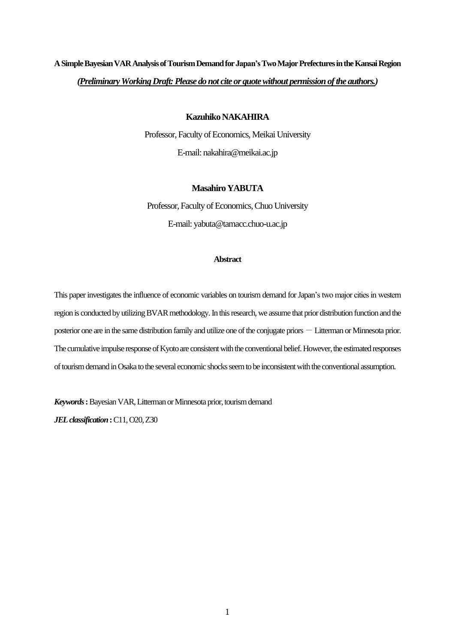# **ASimple Bayesian VAR Analysis ofTourism Demand for Japan's Two Major Prefecturesin the Kansai Region** *(Preliminary Working Draft: Please do not cite or quote without permission of the authors.)*

### **Kazuhiko NAKAHIRA**

Professor, Faculty of Economics, Meikai University E-mail: nakahira@meikai.ac.jp

# **Masahiro YABUTA**

Professor, Faculty of Economics, Chuo University E-mail: yabuta@tamacc.chuo-u.ac.jp

### **Abstract**

This paper investigates the influence of economic variables on tourism demand for Japan's two major cities in western region is conducted by utilizing BVAR methodology.In this research, we assume that prior distribution function and the posterior one are in the same distribution family and utilize one of the conjugate priors  $-$  Litterman or Minnesota prior. The cumulative impulse response of Kyoto are consistent with the conventional belief. However, the estimated responses of tourism demand in Osaka to the several economic shocks seem to be inconsistent with the conventional assumption.

*Keywords***:**Bayesian VAR,Litterman or Minnesota prior, tourism demand

*JELclassification***:**C11, O20, Z30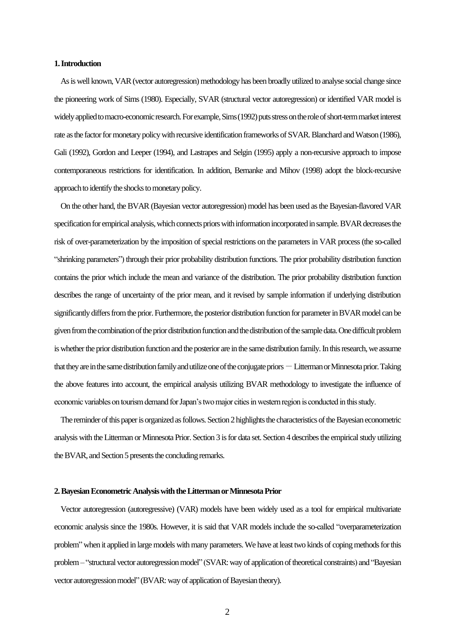### **1. Introduction**

As is well known, VAR (vector autoregression) methodology has been broadly utilized to analyse social change since the pioneering work of Sims (1980). Especially, SVAR (structural vector autoregression) or identified VAR model is widely applied to macro-economic research. For example, Sims (1992) puts stress on the role of short-term market interest rate as the factor for monetary policy with recursive identification frameworks of SVAR. Blanchard and Watson (1986), Gali (1992), Gordon and Leeper (1994), and Lastrapes and Selgin (1995) apply a non-recursive approach to impose contemporaneous restrictions for identification. In addition, Bernanke and Mihov (1998) adopt the block-recursive approach to identify the shocks to monetary policy.

 On the other hand, the BVAR (Bayesian vector autoregression) model has been used as the Bayesian-flavored VAR specification for empirical analysis, which connects priors with information incorporated in sample. BVAR decreases the risk of over-parameterization by the imposition of special restrictions on the parameters in VAR process(the so-called "shrinking parameters") through their prior probability distribution functions. The prior probability distribution function contains the prior which include the mean and variance of the distribution. The prior probability distribution function describes the range of uncertainty of the prior mean, and it revised by sample information if underlying distribution significantly differs from the prior. Furthermore, the posterior distribution function for parameter in BVAR model can be given from the combination of the prior distribution function and the distribution of the sample data.One difficult problem is whether the prior distribution function and the posterior are in the same distribution family. In this research, we assume that they are in the same distribution family and utilize one of the conjugate priors  $-$  Litterman or Minnesota prior. Taking the above features into account, the empirical analysis utilizing BVAR methodology to investigate the influence of economic variables on tourism demand for Japan's two major cities in western region is conducted in this study.

The reminder of this paper is organized as follows. Section 2 highlights the characteristics of the Bayesian econometric analysis with the Litterman or Minnesota Prior. Section 3 is for data set. Section 4 describes the empirical study utilizing the BVAR, and Section 5 presents the concluding remarks.

#### **2. Bayesian Econometric Analysiswith the Litterman or Minnesota Prior**

 Vector autoregression (autoregressive) (VAR) models have been widely used as a tool for empirical multivariate economic analysis since the 1980s. However, it is said that VAR models include the so-called "overparameterization problem" when it applied in large models with many parameters. We have at least two kinds of coping methods for this problem – "structural vector autoregression model" (SVAR: way of application of theoretical constraints) and "Bayesian vector autoregression model" (BVAR: way of application of Bayesian theory).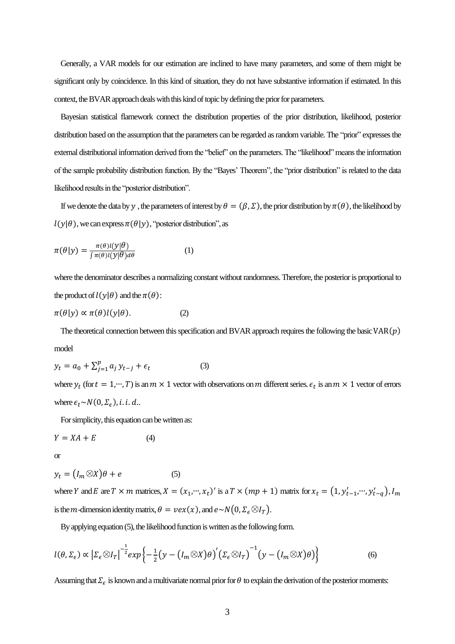Generally, a VAR models for our estimation are inclined to have many parameters, and some of them might be significant only by coincidence. In this kind of situation, they do not have substantive information if estimated. In this context, the BVAR approach deals with this kind of topic by defining the prior for parameters.

 Bayesian statistical flamework connect the distribution properties of the prior distribution, likelihood, posterior distribution based on the assumption that the parameters can be regarded as random variable. The "prior" expresses the external distributional information derived from the "belief" on the parameters. The "likelihood" means the information of the sample probability distribution function. By the "Bayes' Theorem", the "prior distribution" is related to the data likelihood results in the "posterior distribution".

If we denote the data by y, the parameters of interest by  $\theta = (\beta, \Sigma)$ , the prior distribution by  $\pi(\theta)$ , the likelihood by  $l(y|\theta)$ , we can express  $\pi(\theta|y)$ , "posterior distribution", as

$$
\pi(\theta|y) = \frac{\pi(\theta)l(y|\theta)}{\int \pi(\theta)l(y|\theta)d\theta} \tag{1}
$$

where the denominator describes a normalizing constant without randomness. Therefore, the posterior is proportional to the product of  $l(y|\theta)$  and the  $\pi(\theta)$ :

$$
\pi(\theta|y) \propto \pi(\theta)l(y|\theta). \tag{2}
$$

The theoretical connection between this specification and BVAR approach requires the following the basic  $VAR(p)$ model

$$
y_t = a_0 + \sum_{j=1}^p a_j y_{t-j} + \epsilon_t
$$
 (3)

where  $y_t$  (for  $t = 1, ..., T$ ) is an  $m \times 1$  vector with observations on  $m$  different series.  $\epsilon_t$  is an  $m \times 1$  vector of errors where  $\epsilon_t \sim N(0, \Sigma_{\epsilon})$ , *i*. *i*. *d*..

For simplicity, this equation can be written as:

$$
Y = XA + E \tag{4}
$$

or

$$
y_t = (I_m \otimes X)\theta + e \tag{5}
$$

where Y and E are  $T \times m$  matrices,  $X = (x_1, ..., x_t)'$  is a  $T \times (mp + 1)$  matrix for  $x_t = (1, y'_{t-1}, ..., y'_{t-q})$ ,  $I_m$ is the *m*-dimension identity matrix,  $\theta = \nu e x(x)$ , and  $e \sim N(0, \Sigma_{\epsilon} \otimes I_T)$ .

By applying equation (5), the likelihood function is written as the following form.

$$
l(\theta, \Sigma_{\epsilon}) \propto \left| \Sigma_{\epsilon} \otimes I_T \right|^{-\frac{1}{2}} exp \left\{ -\frac{1}{2} \left( y - \left( I_m \otimes X \right) \theta \right)' \left( \Sigma_{\epsilon} \otimes I_T \right)^{-1} \left( y - \left( I_m \otimes X \right) \theta \right) \right\}
$$
(6)

Assuming that  $\Sigma_\epsilon$  is known and a multivariate normal prior for  $\theta$  to explain the derivation of the posterior moments: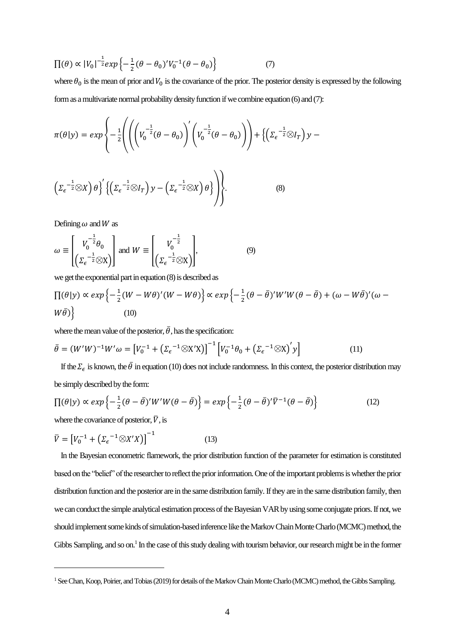$$
\Pi(\theta) \propto |V_0|^{-\frac{1}{2}} exp\left\{-\frac{1}{2}(\theta - \theta_0)'V_0^{-1}(\theta - \theta_0)\right\} \tag{7}
$$

where  $\theta_0$  is the mean of prior and  $V_0$  is the covariance of the prior. The posterior density is expressed by the following formas a multivariate normal probability density function if we combine equation (6) and (7):

$$
\pi(\theta|y) = exp\left\{-\frac{1}{2}\left(\left(\left(V_0^{-\frac{1}{2}}(\theta - \theta_0)\right)' \left(V_0^{-\frac{1}{2}}(\theta - \theta_0)\right)\right) + \left\{\left(\Sigma_{\epsilon}^{-\frac{1}{2}} \otimes I_T\right)y - \left(\Sigma_{\epsilon}^{-\frac{1}{2}} \otimes X\right)\theta\right\} \left\{\left(\Sigma_{\epsilon}^{-\frac{1}{2}} \otimes I_T\right)y - \left(\Sigma_{\epsilon}^{-\frac{1}{2}} \otimes X\right)\theta\right\}\right\}.
$$
\n(8)

Defining  $\omega$  and W as

$$
\omega \equiv \begin{bmatrix} V_0^{-\frac{1}{2}} \theta_0 \\ \left( \Sigma_{\epsilon}^{-\frac{1}{2}} \otimes X \right) \end{bmatrix} \text{ and } W \equiv \begin{bmatrix} V_0^{-\frac{1}{2}} \\ \left( \Sigma_{\epsilon}^{-\frac{1}{2}} \otimes X \right) \end{bmatrix}, \tag{9}
$$

we get the exponential part in equation (8) is described as

$$
\Pi(\theta|y) \propto \exp\left\{-\frac{1}{2}(W - W\theta)'(W - W\theta)\right\} \propto \exp\left\{-\frac{1}{2}(\theta - \bar{\theta})'W'W(\theta - \bar{\theta}) + (\omega - W\bar{\theta})'(\omega - W\bar{\theta})\right\}
$$
\n(10)

where the mean value of the posterior,  $\bar{\theta}$ , has the specification:

$$
\bar{\theta} = (W'W)^{-1}W'\omega = \left[V_0^{-1} + \left(\Sigma_{\epsilon}^{-1} \otimes X'X\right)\right]^{-1} \left[V_0^{-1}\theta_0 + \left(\Sigma_{\epsilon}^{-1} \otimes X\right)'\mathbf{y}\right]
$$
(11)

If the  $\Sigma_\epsilon$  is known, the  $\bar{\theta}$  in equation (10) does not include randomness. In this context, the posterior distribution may be simply described by the form:

$$
\Pi(\theta|y) \propto \exp\left\{-\frac{1}{2}(\theta - \bar{\theta})'W'W(\theta - \bar{\theta})\right\} = \exp\left\{-\frac{1}{2}(\theta - \bar{\theta})'\bar{V}^{-1}(\theta - \bar{\theta})\right\} \tag{12}
$$

where the covariance of posterior,  $\overline{V}$ , is

$$
\overline{V} = \left[V_0^{-1} + \left(\Sigma_{\epsilon}^{-1} \otimes X'X\right)\right]^{-1} \tag{13}
$$

 In the Bayesian econometric flamework, the prior distribution function of the parameter for estimation is constituted based on the "belief" of the researcher to reflect the prior information. One of the important problems is whether the prior distribution function and the posterior are in the same distribution family. If they are in the same distribution family, then we can conduct the simple analytical estimation process of the Bayesian VAR by using some conjugate priors. If not, we should implement some kinds of simulation-based inference like the Markov Chain Monte Charlo (MCMC) method, the Gibbs Sampling, and so on.<sup>1</sup> In the case of this study dealing with tourism behavior, our research might be in the former

<sup>&</sup>lt;sup>1</sup> See Chan, Koop, Poirier, and Tobias (2019) for details of the Markov Chain Monte Charlo (MCMC) method, the Gibbs Sampling.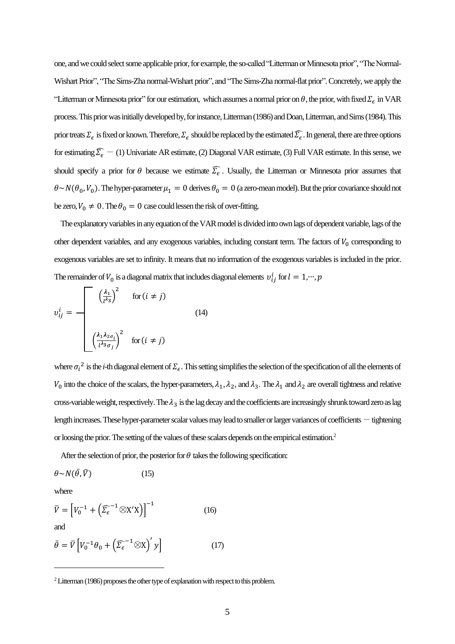one, and we could select some applicable prior, for example, the so-called "Litterman or Minnesota prior", "The Normal-Wishart Prior", "The Sims-Zha normal-Wishart prior", and "The Sims-Zha normal-flat prior". Concretely, we apply the "Litterman or Minnesota prior" for our estimation, which assumes a normal prior on  $\theta$ , the prior, with fixed  $\Sigma_\epsilon$  in VAR process. This prior was initially developed by, for instance, Litterman (1986) and Doan, Litterman, and Sims (1984). This prior treats  $\Sigma_\epsilon$  is fixed or known. Therefore,  $\Sigma_\epsilon$  should be replaced by the estimated  $\widehat{\Sigma_\epsilon}$ . In general, there are three options for estimating  $\widehat{\Sigma_{\epsilon}}$  - (1) Univariate AR estimate, (2) Diagonal VAR estimate, (3) Full VAR estimate. In this sense, we should specify a prior for  $\theta$  because we estimate  $\widehat{\Sigma_{\epsilon}}$ . Usually, the Litterman or Minnesota prior assumes that  $\theta \sim N(\theta_0, V_0)$ . The hyper-parameter  $\mu_1 = 0$  derives  $\theta_0 = 0$  (a zero-mean model). But the prior covariance should not be zero,  $V_0 \neq 0$ . The  $\theta_0 = 0$  case could lessen the risk of over-fitting.

 The explanatory variables in any equation of the VAR model is divided into own lags of dependent variable, lags of the other dependent variables, and any exogenous variables, including constant term. The factors of  $V_0$  corresponding to exogenous variables are set to infinity. It means that no information of the exogenous variables is included in the prior. The remainder of  $V_0$  is a diagonal matrix that includes diagonal elements  $v_{ij}^i$  for  $l=1,\cdots,p$ 

$$
v_{ij}^{i} = \begin{bmatrix} \left(\frac{\lambda_{1}}{l^{\lambda_{3}}}\right)^{2} & \text{for } (i \neq j) \\ \left(\frac{\lambda_{1} \lambda_{2 \sigma_{i}}}{l^{\lambda_{3}} \sigma_{j}}\right)^{2} & \text{for } (i \neq j) \end{bmatrix}
$$
(14)

where  $\sigma_i^2$  is the *i*-th diagonal element of  $\Sigma_\epsilon$ . This setting simplifies the selection of the specification of all the elements of  $V_0$  into the choice of the scalars, the hyper-parameters,  $\lambda_1$ ,  $\lambda_2$ , and  $\lambda_3$ . The  $\lambda_1$  and  $\lambda_2$  are overall tightness and relative cross-variable weight, respectively. The  $\lambda_3$  is the lag decay and the coefficients are increasingly shrunk toward zero as lag length increases. These hyper-parameter scalar values may lead to smaller or larger variances of coefficients  $-$  tightening or loosing the prior.The setting of the values of these scalars depends on the empirical estimation.<sup>2</sup>

After the selection of prior, the posterior for  $\theta$  takes the following specification:

$$
\theta \sim N(\bar{\theta}, \bar{V}) \tag{15}
$$

where

$$
\overline{V} = \left[V_0^{-1} + \left(\widehat{\Sigma_{\epsilon}}^{-1} \otimes X'X\right)\right]^{-1} \tag{16}
$$

and

$$
\bar{\theta} = \bar{V} \left[ V_0^{-1} \theta_0 + \left( \bar{\Sigma}_{\epsilon}^{-1} \otimes \mathbf{X} \right)' y \right] \tag{17}
$$

 $2$  Litterman (1986) proposes the other type of explanation with respect to this problem.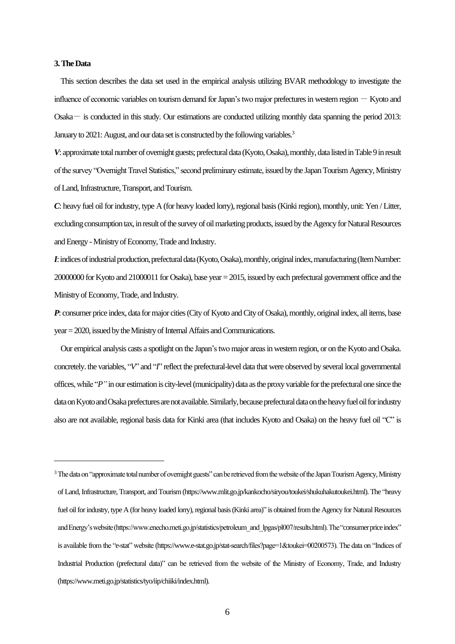### **3. The Data**

 This section describes the data set used in the empirical analysis utilizing BVAR methodology to investigate the influence of economic variables on tourism demand for Japan's two major prefectures in western region  $-$  Kyoto and Osaka- is conducted in this study. Our estimations are conducted utilizing monthly data spanning the period 2013: January to 2021: August, and our data set is constructed by the following variables.<sup>3</sup>

*V*: approximate total number of overnight guests; prefectural data (Kyoto, Osaka), monthly, data listedin Table 9 in result of the survey "Overnight Travel Statistics," second preliminary estimate, issued by the Japan Tourism Agency, Ministry of Land, Infrastructure, Transport, and Tourism.

*C*: heavy fuel oil for industry, type A (for heavy loaded lorry), regional basis(Kinki region), monthly, unit: Yen / Litter, excluding consumption tax, in result of the survey of oil marketing products, issued by the Agency for Natural Resources and Energy -Ministry of Economy, Trade and Industry.

*I*: indices of industrial production, prefectural data (Kyoto, Osaka), monthly, original index, manufacturing (Item Number: 20000000 for Kyoto and 21000011 for Osaka), base year = 2015, issued by each prefectural government office and the Ministry of Economy, Trade, and Industry.

*P*: consumer price index, data for major cities (City of Kyoto and City of Osaka), monthly, original index, all items, base year = 2020, issued by the Ministry of Internal Affairs and Communications.

 Our empirical analysis casts a spotlight on the Japan's two major areasin western region, or on the Kyoto and Osaka. concretely. the variables, "*V*" and "*I*" reflect the prefectural-level data that were observed by several local governmental offices, while "*P"*in our estimation is city-level (municipality) data as the proxy variable for the prefectural one since the data on Kyoto and Osaka prefectures are not available. Similarly, because prefectural data onthe heavy fuel oil for industry also are not available, regional basis data for Kinki area (that includes Kyoto and Osaka) on the heavy fuel oil "C" is

<sup>&</sup>lt;sup>3</sup> The data on "approximate total number of overnight guests" can be retrieved from the website of the Japan Tourism Agency, Ministry of Land, Infrastructure, Transport, and Tourism (https://www.mlit.go.jp/kankocho/siryou/toukei/shukuhakutoukei.html). The "heavy fuel oil for industry, type A (for heavy loaded lorry), regional basis (Kinki area)" is obtained from the Agency for Natural Resources and Energy's website (https://www.enecho.meti.go.jp/statistics/petroleum\_and\_lpgas/pl007/results.html). The "consumer price index" is available from the "e-stat" website (https://www.e-stat.go.jp/stat-search/files?page=1&toukei=00200573). The data on "Indices of Industrial Production (prefectural data)" can be retrieved from the website of the Ministry of Economy, Trade, and Industry (https://www.meti.go.jp/statistics/tyo/iip/chiiki/index.html).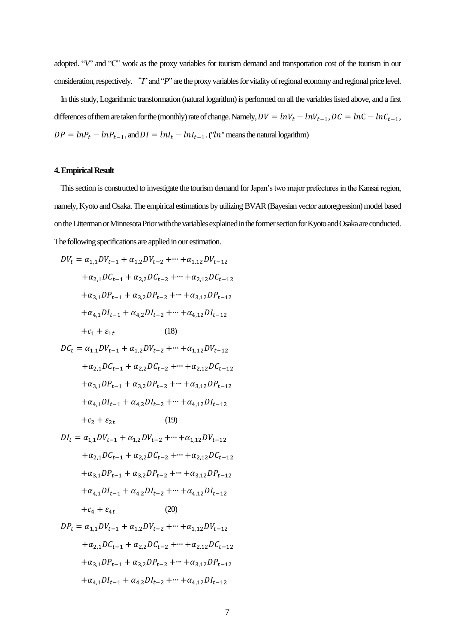adopted. "*V*" and "C" work as the proxy variables for tourism demand and transportation cost of the tourism in our consideration, respectively. "*I*" and "*P*" are the proxy variables for vitality of regional economy and regional price level.

 In this study, Logarithmic transformation (natural logarithm) is performed on all the variables listed above, and a first differences of them are taken for the (monthly) rate of change. Namely,  $DV = lnV_t - lnV_{t-1}$ ,  $DC = lnC - lnC_{t-1}$ ,  $DP = lnP_t - lnP_{t-1}$ , and  $DI = lnI_t - lnI_{t-1}$ . ("ln" means the natural logarithm)

#### **4. Empirical Result**

 This section is constructed to investigate the tourism demand for Japan's two major prefectures in the Kansai region, namely, Kyoto and Osaka. The empirical estimations by utilizing BVAR(Bayesian vector autoregression) model based on the Litterman or Minnesota Prior with the variables explained in the former section for Kyoto and Osaka are conducted. The following specifications are applied in our estimation.

$$
DV_{t} = \alpha_{1,1}DV_{t-1} + \alpha_{1,2}DV_{t-2} + \cdots + \alpha_{1,12}DV_{t-12}
$$
  
\n
$$
+ \alpha_{2,1}DC_{t-1} + \alpha_{2,2}DC_{t-2} + \cdots + \alpha_{2,12}DC_{t-12}
$$
  
\n
$$
+ \alpha_{3,1}DP_{t-1} + \alpha_{3,2}DP_{t-2} + \cdots + \alpha_{3,12}DP_{t-12}
$$
  
\n
$$
+ \alpha_{4,1}DI_{t-1} + \alpha_{4,2}DI_{t-2} + \cdots + \alpha_{4,12}DI_{t-12}
$$
  
\n
$$
+ c_{1} + \varepsilon_{1t}
$$
 (18)  
\n
$$
DC_{t} = \alpha_{1,1}DV_{t-1} + \alpha_{1,2}DV_{t-2} + \cdots + \alpha_{1,12}DV_{t-12}
$$
  
\n
$$
+ \alpha_{2,1}DC_{t-1} + \alpha_{2,2}DC_{t-2} + \cdots + \alpha_{2,12}DC_{t-12}
$$
  
\n
$$
+ \alpha_{3,1}DP_{t-1} + \alpha_{3,2}DP_{t-2} + \cdots + \alpha_{3,12}DP_{t-12}
$$
  
\n
$$
+ \alpha_{4,1}DI_{t-1} + \alpha_{4,2}DI_{t-2} + \cdots + \alpha_{4,12}DI_{t-12}
$$
  
\n
$$
+ c_{2} + \varepsilon_{2t}
$$
 (19)  
\n
$$
DI_{t} = \alpha_{1,1}DV_{t-1} + \alpha_{1,2}DV_{t-2} + \cdots + \alpha_{1,12}DV_{t-12}
$$
  
\n
$$
+ \alpha_{2,1}DC_{t-1} + \alpha_{2,2}DC_{t-2} + \cdots + \alpha_{2,12}DC_{t-12}
$$
  
\n
$$
+ \alpha_{3,1}DP_{t-1} + \alpha_{3,2}DP_{t-2} + \cdots + \alpha_{3,12}DP_{t-12}
$$
  
\n
$$
+ \alpha_{4,1}DI_{t-1} + \alpha_{4,2}DI_{t-2} + \cdots + \alpha_{4,12
$$

$$
DP_{t} = \alpha_{1,1}DV_{t-1} + \alpha_{1,2}DV_{t-2} + \dots + \alpha_{1,12}DV_{t-12}
$$

$$
+ \alpha_{2,1}DC_{t-1} + \alpha_{2,2}DC_{t-2} + \dots + \alpha_{2,12}DC_{t-12}
$$

$$
+ \alpha_{3,1}DP_{t-1} + \alpha_{3,2}DP_{t-2} + \dots + \alpha_{3,12}DP_{t-12}
$$

$$
+ \alpha_{4,1}DL_{t-1} + \alpha_{4,2}DL_{t-2} + \dots + \alpha_{4,12}DL_{t-12}
$$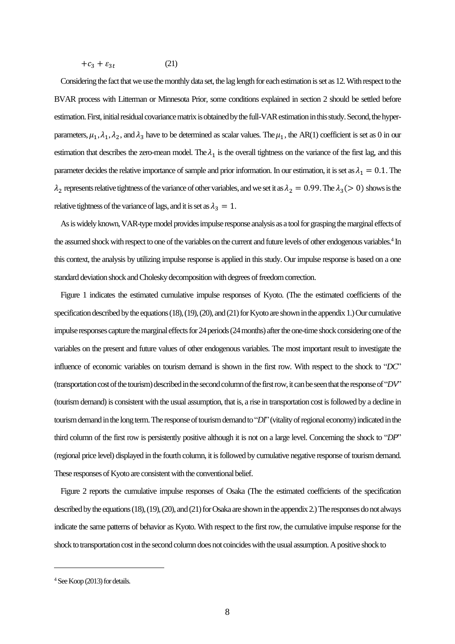$$
+c_3 + \varepsilon_{3t} \tag{21}
$$

 Considering the fact that we use the monthly data set, the lag length for each estimation is set as 12. With respect to the BVAR process with Litterman or Minnesota Prior, some conditions explained in section 2 should be settled before estimation. First, initial residual covariance matrix is obtained by the full-VAR estimation in this study. Second, the hyperparameters,  $\mu_1, \lambda_1, \lambda_2$ , and  $\lambda_3$  have to be determined as scalar values. The  $\mu_1$ , the AR(1) coefficient is set as 0 in our estimation that describes the zero-mean model. The  $\lambda_1$  is the overall tightness on the variance of the first lag, and this parameter decides the relative importance of sample and prior information. In our estimation, it is set as  $\lambda_1 = 0.1$ . The  $\lambda_2$  represents relative tightness of the variance of other variables, and we set it as  $\lambda_2 = 0.99$ . The  $\lambda_3 (>0)$  shows is the relative tightness of the variance of lags, and it is set as  $\lambda_3 = 1$ .

As is widely known, VAR-type model provides impulse response analysis as a tool for grasping the marginal effects of the assumed shock with respect to one of the variables on the current and future levels of other endogenous variables.<sup>4</sup> In this context, the analysis by utilizing impulse response is applied in this study. Our impulse response is based on a one standard deviation shock and Cholesky decomposition with degrees of freedom correction.

 Figure 1 indicates the estimated cumulative impulse responses of Kyoto. (The the estimated coefficients of the specification described by the equations (18), (19), (20), and (21) for Kyoto are shown in the appendix 1.) Our cumulative impulse responses capture the marginal effects for 24 periods (24 months) after the one-time shock considering one of the variables on the present and future values of other endogenous variables. The most important result to investigate the influence of economic variables on tourism demand is shown in the first row. With respect to the shock to "*DC*" (transportation cost of the tourism) described in the second column of the first row, it can be seen that the response of "*DV*" (tourism demand)is consistent with the usual assumption, that is, a rise in transportation cost is followed by a decline in tourism demand in the long term. The response of tourism demand to "*DI*" (vitality of regional economy) indicated in the third column of the first row is persistently positive although it is not on a large level. Concerning the shock to "*DP*" (regional price level) displayed in the fourth column, it is followed by cumulative negative response of tourism demand. These responses of Kyoto are consistent with the conventional belief.

 Figure 2 reports the cumulative impulse responses of Osaka (The the estimated coefficients of the specification described by the equations (18), (19), (20), and (21) for Osaka are shown in the appendix 2.) The responses do not always indicate the same patterns of behavior as Kyoto. With respect to the first row, the cumulative impulse response for the shock to transportation cost in the second column does not coincides with the usual assumption. A positive shock to

<sup>&</sup>lt;sup>4</sup> See Koop (2013) for details.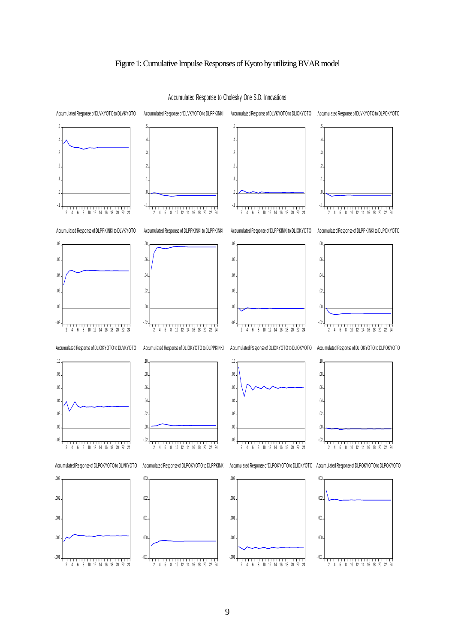# Figure 1: Cumulative Impulse Responses of Kyoto by utilizing BVARmodel



Accumulated Response to Cholesky One S.D. Innovations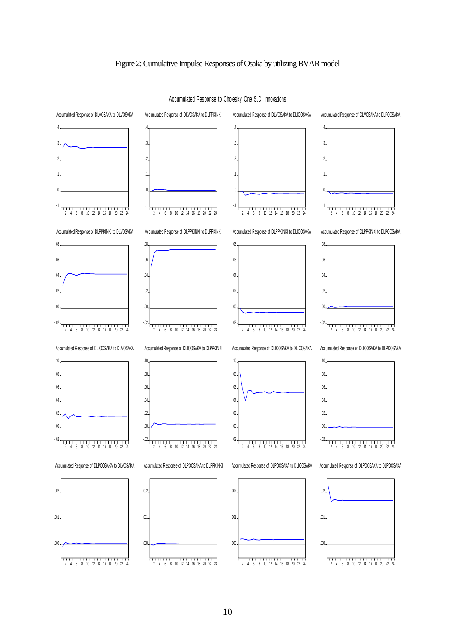# Figure 2: Cumulative Impulse Responses of Osaka by utilizing BVARmodel



Accumulated Response to Cholesky One S.D. Innovations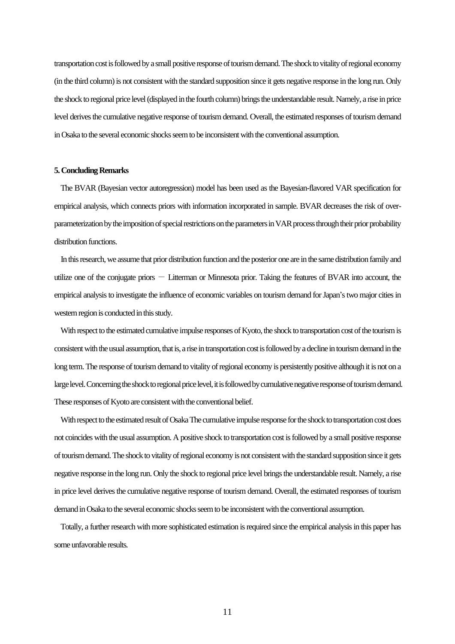transportation costis followed by a small positive response of tourism demand. The shock to vitality of regional economy (in the third column) is not consistent with the standard supposition since it gets negative response in the long run. Only the shock to regional price level(displayed in the fourth column) brings the understandable result. Namely, a rise in price level derives the cumulative negative response of tourism demand. Overall, the estimated responses of tourism demand in Osaka to the several economic shocks seem to be inconsistent with the conventional assumption.

#### **5. Concluding Remarks**

 The BVAR (Bayesian vector autoregression) model has been used as the Bayesian-flavored VAR specification for empirical analysis, which connects priors with information incorporated in sample. BVAR decreases the risk of overparameterization by the imposition of special restrictions on the parameters in VAR process through their prior probability distribution functions.

 In this research, we assume that prior distribution function and the posterior one are in the same distribution family and utilize one of the conjugate priors  $-$  Litterman or Minnesota prior. Taking the features of BVAR into account, the empirical analysis to investigate the influence of economic variables on tourism demand forJapan's two major cities in western region is conducted in this study.

With respect to the estimated cumulative impulse responses of Kyoto, the shock to transportation cost of the tourism is consistent with the usual assumption, that is, a rise in transportation cost is followed by a decline in tourismdemand in the long term. The response of tourism demand to vitality of regional economy is persistently positive although it is not on a large level. Concerning the shock to regional price level, it is followed by cumulative negative response of tourism demand. These responses of Kyoto are consistent with the conventional belief.

 With respect to the estimated result of Osaka The cumulative impulse response for the shock to transportation cost does not coincides with the usual assumption. A positive shock to transportation cost is followed by a small positive response of tourism demand. The shock to vitality of regional economy is not consistent with the standard supposition since it gets negative response in the long run. Only the shock to regional price level brings the understandable result. Namely, a rise in price level derives the cumulative negative response of tourism demand. Overall, the estimated responses of tourism demand in Osaka to the several economic shocks seem to be inconsistent with the conventional assumption.

 Totally, a further research with more sophisticated estimation is required since the empirical analysis in this paper has some unfavorable results.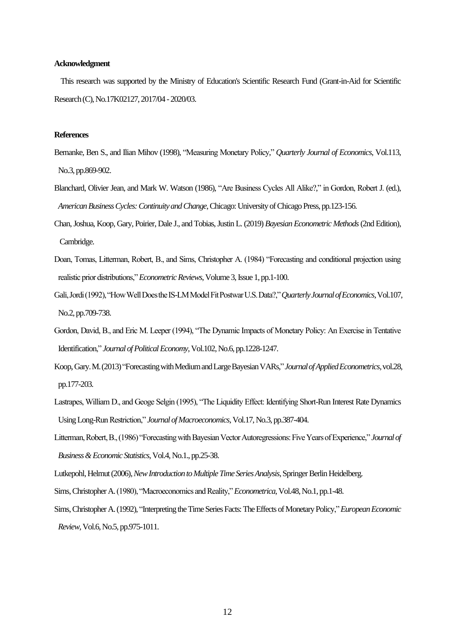### **Acknowledgment**

 This research was supported by the Ministry of Education's Scientific Research Fund (Grant-in-Aid for Scientific Research (C), No.17K02127, 2017/04 - 2020/03.

#### **References**

- Bernanke, Ben S., and Ilian Mihov (1998), "Measuring Monetary Policy," *Quarterly Journal of Economics*, Vol.113, No.3, pp.869-902.
- Blanchard, Olivier Jean, and Mark W. Watson (1986), "Are Business Cycles All Alike?," in Gordon, Robert J. (ed.), *American Business Cycles: Continuity and Change*, Chicago: University of Chicago Press, pp.123-156.
- Chan, Joshua, Koop, Gary, Poirier, Dale J., and Tobias, Justin L. (2019) *Bayesian Econometric Methods*(2nd Edition), Cambridge.
- Doan, Tomas, Litterman, Robert, B., and Sims, Christopher A. (1984) "Forecasting and conditional projection using realistic prior distributions," *Econometric Reviews*, Volume 3, Issue 1, pp.1-100.
- Gali, Jordi (1992), "How Well Does the IS-LM Model Fit Postwar U.S. Data?," *Quarterly Journal of Economics*, Vol.107, No.2, pp.709-738.
- Gordon, David, B., and Eric M. Leeper (1994), "The Dynamic Impacts of Monetary Policy: An Exercise in Tentative Identification," *Journal of Political Economy*, Vol.102, No.6, pp.1228-1247.
- Koop, Gary. M. (2013) "Forecasting with Medium and Large Bayesian VARs," *Journal of Applied Econometrics*, vol.28, pp.177-203.
- Lastrapes, William D., and Geoge Selgin (1995), "The Liquidity Effect: Identifying Short-Run Interest Rate Dynamics Using Long-Run Restriction," *Journal of Macroeconomics*, Vol.17, No.3, pp.387-404.
- Litterman, Robert, B., (1986) "Forecasting with Bayesian Vector Autoregressions: Five Years of Experience," *Journal of Business & Economic Statistics*, Vol.4, No.1., pp.25-38.
- Lutkepohl, Helmut (2006), *New Introduction to Multiple Time Series Analysis*, Springer Berlin Heidelberg.
- Sims, Christopher A.(1980), "Macroeconomics and Reality," *Econometrica*, Vol.48, No.1, pp.1-48.
- Sims, Christopher A.(1992), "Interpreting the Time Series Facts: The Effects of Monetary Policy,"*European Economic Review*, Vol.6, No.5, pp.975-1011.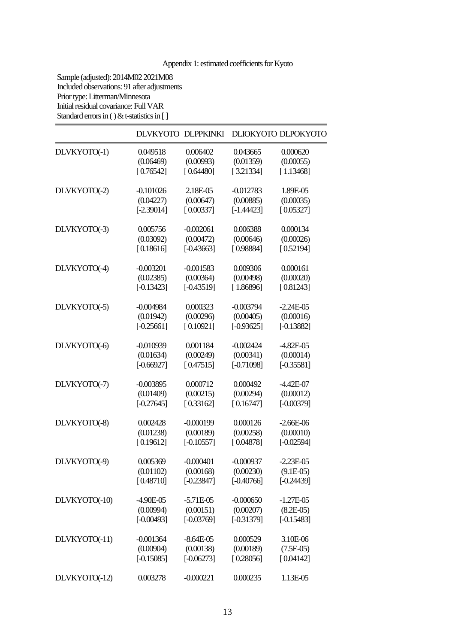# Appendix 1: estimated coefficients for Kyoto

Sample (adjusted): 2014M02 2021M08 Included observations: 91 after adjustments Prior type: Litterman/Minnesota Initial residual covariance: Full VAR Standard errors in  $() &$  t-statistics in [ ]

|               |               | DLVKYOTO DLPPKINKI |              | DLIOKYOTO DLPOKYOTO |
|---------------|---------------|--------------------|--------------|---------------------|
| DLVKYOTO(-1)  | 0.049518      | 0.006402           | 0.043665     | 0.000620            |
|               | (0.06469)     | (0.00993)          | (0.01359)    | (0.00055)           |
|               | [0.76542]     | [0.64480]          | [3.21334]    | [1.13468]           |
| DLVKYOTO(-2)  | $-0.101026$   | 2.18E-05           | $-0.012783$  | 1.89E-05            |
|               | (0.04227)     | (0.00647)          | (0.00885)    | (0.00035)           |
|               | $[-2.39014]$  | [0.00337]          | $[-1.44423]$ | [0.05327]           |
| DLVKYOTO(-3)  | 0.005756      | $-0.002061$        | 0.006388     | 0.000134            |
|               | (0.03092)     | (0.00472)          | (0.00646)    | (0.00026)           |
|               | [0.18616]     | $[-0.43663]$       | [0.98884]    | [0.52194]           |
| DLVKYOTO(-4)  | $-0.003201$   | $-0.001583$        | 0.009306     | 0.000161            |
|               | (0.02385)     | (0.00364)          | (0.00498)    | (0.00020)           |
|               | $[-0.13423]$  | $[-0.43519]$       | [1.86896]    | [0.81243]           |
| DLVKYOTO(-5)  | $-0.004984$   | 0.000323           | $-0.003794$  | $-2.24E - 05$       |
|               | (0.01942)     | (0.00296)          | (0.00405)    | (0.00016)           |
|               | $[-0.25661]$  | [0.10921]          | $[-0.93625]$ | $[-0.13882]$        |
| DLVKYOTO(-6)  | $-0.010939$   | 0.001184           | $-0.002424$  | $-4.82E - 05$       |
|               | (0.01634)     | (0.00249)          | (0.00341)    | (0.00014)           |
|               | $[-0.66927]$  | [0.47515]          | $[-0.71098]$ | $[-0.35581]$        |
| DLVKYOTO(-7)  | $-0.003895$   | 0.000712           | 0.000492     | $-4.42E - 07$       |
|               | (0.01409)     | (0.00215)          | (0.00294)    | (0.00012)           |
|               | $[-0.27645]$  | [0.33162]          | [0.16747]    | $[-0.00379]$        |
| DLVKYOTO(-8)  | 0.002428      | $-0.000199$        | 0.000126     | $-2.66E-06$         |
|               | (0.01238)     | (0.00189)          | (0.00258)    | (0.00010)           |
|               | [0.19612]     | $[-0.10557]$       | [0.04878]    | $[-0.02594]$        |
| DLVKYOTO(-9)  | 0.005369      | $-0.000401$        | $-0.000937$  | $-2.23E - 05$       |
|               | (0.01102)     | (0.00168)          | (0.00230)    | $(9.1E-05)$         |
|               | [0.48710]     | $[-0.23847]$       | $[-0.40766]$ | $[-0.24439]$        |
| DLVKYOTO(-10) | $-4.90E - 05$ | $-5.71E-05$        | $-0.000650$  | $-1.27E-05$         |
|               | (0.00994)     | (0.00151)          | (0.00207)    | $(8.2E-05)$         |
|               | $[-0.00493]$  | $[-0.03769]$       | $[-0.31379]$ | $[-0.15483]$        |
| DLVKYOTO(-11) | $-0.001364$   | $-8.64E - 05$      | 0.000529     | 3.10E-06            |
|               | (0.00904)     | (0.00138)          | (0.00189)    | $(7.5E-05)$         |
|               | $[-0.15085]$  | $[-0.06273]$       | [0.28056]    | [0.04142]           |
| DLVKYOTO(-12) | 0.003278      | $-0.000221$        | 0.000235     | 1.13E-05            |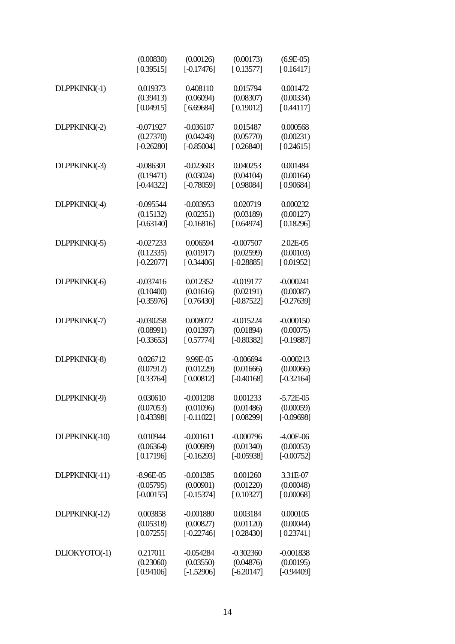|                | (0.00830)     | (0.00126)    | (0.00173)    | $(6.9E-05)$   |
|----------------|---------------|--------------|--------------|---------------|
|                | [0.39515]     | $[-0.17476]$ | [0.13577]    | [0.16417]     |
| DLPPKINKI(-1)  | 0.019373      | 0.408110     | 0.015794     | 0.001472      |
|                | (0.39413)     | (0.06094)    | (0.08307)    | (0.00334)     |
|                | [0.04915]     | [6.69684]    | [0.19012]    | [0.44117]     |
| DLPPKINKI(-2)  | $-0.071927$   | $-0.036107$  | 0.015487     | 0.000568      |
|                | (0.27370)     | (0.04248)    | (0.05770)    | (0.00231)     |
|                | $[-0.26280]$  | $[-0.85004]$ | [0.26840]    | [0.24615]     |
| DLPPKINKI(-3)  | $-0.086301$   | $-0.023603$  | 0.040253     | 0.001484      |
|                | (0.19471)     | (0.03024)    | (0.04104)    | (0.00164)     |
|                | $[-0.44322]$  | $[-0.78059]$ | [0.98084]    | [0.90684]     |
| DLPPKINKI(-4)  | $-0.095544$   | $-0.003953$  | 0.020719     | 0.000232      |
|                | (0.15132)     | (0.02351)    | (0.03189)    | (0.00127)     |
|                | $[-0.63140]$  | $[-0.16816]$ | [0.64974]    | [0.18296]     |
| DLPPKINKI(-5)  | $-0.027233$   | 0.006594     | $-0.007507$  | 2.02E-05      |
|                | (0.12335)     | (0.01917)    | (0.02599)    | (0.00103)     |
|                | $[-0.22077]$  | [0.34406]    | $[-0.28885]$ | [0.01952]     |
| DLPPKINKI(-6)  | $-0.037416$   | 0.012352     | $-0.019177$  | $-0.000241$   |
|                | (0.10400)     | (0.01616)    | (0.02191)    | (0.00087)     |
|                | $[-0.35976]$  | [0.76430]    | $[-0.87522]$ | $[-0.27639]$  |
| DLPPKINKI(-7)  | $-0.030258$   | 0.008072     | $-0.015224$  | $-0.000150$   |
|                | (0.08991)     | (0.01397)    | (0.01894)    | (0.00075)     |
|                | $[-0.33653]$  | [0.57774]    | $[-0.80382]$ | $[-0.19887]$  |
| DLPPKINKI(-8)  | 0.026712      | 9.99E-05     | $-0.006694$  | $-0.000213$   |
|                | (0.07912)     | (0.01229)    | (0.01666)    | (0.00066)     |
|                | [0.33764]     | [0.00812]    | $[-0.40168]$ | $[-0.32164]$  |
| DLPPKINKI(-9)  | 0.030610      | $-0.001208$  | 0.001233     | $-5.72E - 05$ |
|                | (0.07053)     | (0.01096)    | (0.01486)    | (0.00059)     |
|                | [0.43398]     | $[-0.11022]$ | [0.08299]    | $[-0.09698]$  |
| DLPPKINKI(-10) | 0.010944      | $-0.001611$  | $-0.000796$  | $-4.00E-06$   |
|                | (0.06364)     | (0.00989)    | (0.01340)    | (0.00053)     |
|                | [0.17196]     | $[-0.16293]$ | $[-0.05938]$ | $[-0.00752]$  |
| DLPPKINKI(-11) | $-8.96E - 05$ | $-0.001385$  | 0.001260     | 3.31E-07      |
|                | (0.05795)     | (0.00901)    | (0.01220)    | (0.00048)     |
|                | $[-0.00155]$  | $[-0.15374]$ | [0.10327]    | [0.00068]     |
| DLPPKINKI(-12) | 0.003858      | $-0.001880$  | 0.003184     | 0.000105      |
|                | (0.05318)     | (0.00827)    | (0.01120)    | (0.00044)     |
|                | [0.07255]     | $[-0.22746]$ | [0.28430]    | [0.23741]     |
| DLIOKYOTO(-1)  | 0.217011      | $-0.054284$  | $-0.302360$  | $-0.001838$   |
|                | (0.23060)     | (0.03550)    | (0.04876)    | (0.00195)     |
|                | [0.94106]     | $[-1.52906]$ | $[-6.20147]$ | $[-0.94409]$  |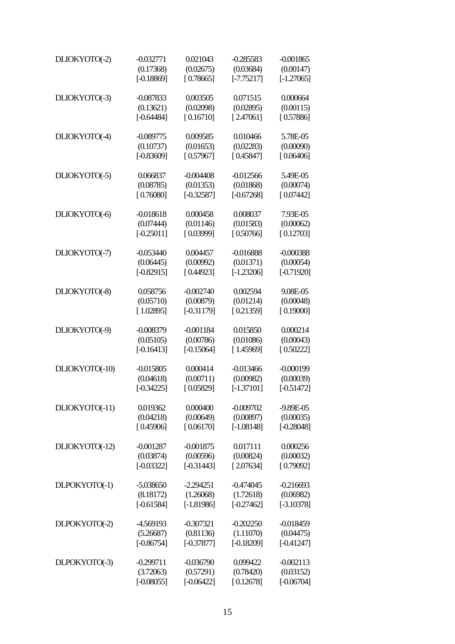| DLIOKYOTO(-2)  | $-0.032771$  | 0.021043     | $-0.285583$  | $-0.001865$  |
|----------------|--------------|--------------|--------------|--------------|
|                | (0.17368)    | (0.02675)    | (0.03684)    | (0.00147)    |
|                | $[-0.18869]$ | [0.78665]    | $[-7.75217]$ | $[-1.27065]$ |
|                |              |              |              | 0.000664     |
| DLIOKYOTO(-3)  | $-0.087833$  | 0.003505     | 0.071515     |              |
|                | (0.13621)    | (0.02098)    | (0.02895)    | (0.00115)    |
|                | $[-0.64484]$ | [0.16710]    | [2.47061]    | [0.57886]    |
| DLIOKYOTO(-4)  | $-0.089775$  | 0.009585     | 0.010466     | 5.78E-05     |
|                | (0.10737)    | (0.01653)    | (0.02283)    | (0.00090)    |
|                | $[-0.83609]$ | [0.57967]    | [0.45847]    | [0.06406]    |
| DLIOKYOTO(-5)  | 0.066837     | $-0.004408$  | $-0.012566$  | 5.49E-05     |
|                | (0.08785)    | (0.01353)    | (0.01868)    | (0.00074)    |
|                | [0.76080]    | $[-0.32587]$ | $[-0.67268]$ | [0.07442]    |
| DLIOKYOTO(-6)  | $-0.018618$  | 0.000458     | 0.008037     | 7.93E-05     |
|                | (0.07444)    | (0.01146)    | (0.01583)    | (0.00062)    |
|                |              |              | [0.50766]    |              |
|                | $[-0.25011]$ | [0.03999]    |              | [0.12703]    |
| DLIOKYOTO(-7)  | $-0.053440$  | 0.004457     | $-0.016888$  | $-0.000388$  |
|                | (0.06445)    | (0.00992)    | (0.01371)    | (0.00054)    |
|                | $[-0.82915]$ | [0.44923]    | $[-1.23206]$ | $[-0.71920]$ |
| DLIOKYOTO(-8)  | 0.058756     | $-0.002740$  | 0.002594     | 9.08E-05     |
|                | (0.05710)    | (0.00879)    | (0.01214)    | (0.00048)    |
|                | [1.02895]    | $[-0.31179]$ | [0.21359]    | [0.19000]    |
| DLIOKYOTO(-9)  | $-0.008379$  | $-0.001184$  | 0.015850     | 0.000214     |
|                | (0.05105)    | (0.00786)    | (0.01086)    | (0.00043)    |
|                | $[-0.16413]$ | $[-0.15064]$ | [1.45969]    | [0.50222]    |
|                |              |              |              |              |
| DLIOKYOTO(-10) | -0.015805    | 0.000414     | $-0.013466$  | $-0.000199$  |
|                | (0.04618)    | (0.00711)    | (0.00982)    | (0.00039)    |
|                | $[-0.34225]$ | [0.05829]    | $[-1.37101]$ | $[-0.51472]$ |
| DLIOKYOTO(-11) | 0.019362     | 0.000400     | $-0.009702$  | $-9.89E-05$  |
|                | (0.04218)    | (0.00649)    | (0.00897)    | (0.00035)    |
|                | [0.45906]    | [0.06170]    | $[-1.08148]$ | $[-0.28048]$ |
| DLIOKYOTO(-12) | $-0.001287$  | $-0.001875$  | 0.017111     | 0.000256     |
|                | (0.03874)    | (0.00596)    | (0.00824)    | (0.00032)    |
|                | $[-0.03322]$ | $[-0.31443]$ | [2.07634]    | [0.79092]    |
| DLPOKYOTO(-1)  | $-5.038650$  | $-2.294251$  | $-0.474045$  | $-0.216693$  |
|                | (8.18172)    | (1.26068)    | (1.72618)    | (0.06982)    |
|                | $[-0.61584]$ | $[-1.81986]$ | $[-0.27462]$ | $[-3.10378]$ |
|                |              |              |              |              |
| DLPOKYOTO(-2)  | -4.569193    | $-0.307321$  | $-0.202250$  | $-0.018459$  |
|                | (5.26687)    | (0.81136)    | (1.11070)    | (0.04475)    |
|                | $[-0.86754]$ | $[-0.37877]$ | $[-0.18209]$ | $[-0.41247]$ |
| DLPOKYOTO(-3)  | $-0.299711$  | $-0.036790$  | 0.099422     | $-0.002113$  |
|                | (3.72063)    | (0.57291)    | (0.78420)    | (0.03152)    |
|                | $[-0.08055]$ | $[-0.06422]$ | [0.12678]    | $[-0.06704]$ |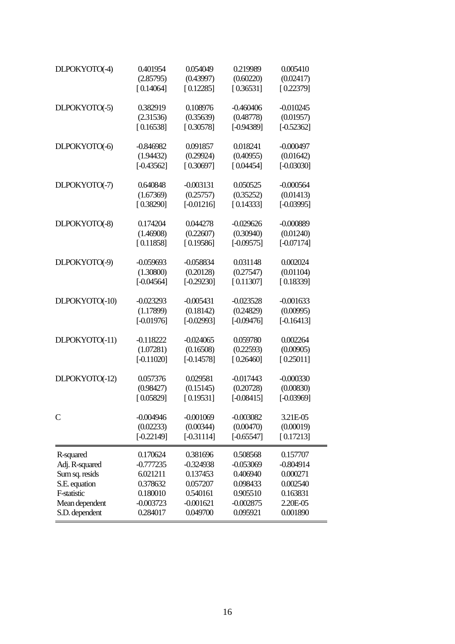| DLPOKYOTO(-4)      | 0.401954     | 0.054049     | 0.219989     | 0.005410     |
|--------------------|--------------|--------------|--------------|--------------|
|                    | (2.85795)    | (0.43997)    | (0.60220)    | (0.02417)    |
|                    | [0.14064]    | [0.12285]    | [0.36531]    | [0.22379]    |
| DLPOKYOTO(-5)      | 0.382919     | 0.108976     | $-0.460406$  | $-0.010245$  |
|                    | (2.31536)    | (0.35639)    | (0.48778)    | (0.01957)    |
|                    | [0.16538]    | [0.30578]    | $[-0.94389]$ | $[-0.52362]$ |
| DLPOKYOTO(-6)      | -0.846982    | 0.091857     | 0.018241     | $-0.000497$  |
|                    | (1.94432)    | (0.29924)    | (0.40955)    | (0.01642)    |
|                    | $[-0.43562]$ | [0.30697]    | [0.04454]    | $[-0.03030]$ |
| DLPOKYOTO(-7)      | 0.640848     | -0.003131    | 0.050525     | $-0.000564$  |
|                    | (1.67369)    | (0.25757)    | (0.35252)    | (0.01413)    |
|                    | [0.38290]    | $[-0.01216]$ | [0.14333]    | $[-0.03995]$ |
| DLPOKYOTO(-8)      | 0.174204     | 0.044278     | $-0.029626$  | $-0.000889$  |
|                    | (1.46908)    | (0.22607)    | (0.30940)    | (0.01240)    |
|                    | [0.11858]    | [0.19586]    | $[-0.09575]$ | $[-0.07174]$ |
| DLPOKYOTO(-9)      | -0.059693    | -0.058834    | 0.031148     | 0.002024     |
|                    | (1.30800)    | (0.20128)    | (0.27547)    | (0.01104)    |
|                    | $[-0.04564]$ | $[-0.29230]$ | [0.11307]    | [0.18339]    |
| DLPOKYOTO(-10)     | $-0.023293$  | $-0.005431$  | $-0.023528$  | $-0.001633$  |
|                    | (1.17899)    | (0.18142)    | (0.24829)    | (0.00995)    |
|                    | $[-0.01976]$ | $[-0.02993]$ | $[-0.09476]$ | $[-0.16413]$ |
| DLPOKYOTO(-11)     | -0.118222    | -0.024065    | 0.059780     | 0.002264     |
|                    | (1.07281)    | (0.16508)    | (0.22593)    | (0.00905)    |
|                    | $[-0.11020]$ | $[-0.14578]$ | [0.26460]    | [0.25011]    |
| DLPOKYOTO(-12)     | 0.057376     | 0.029581     | $-0.017443$  | $-0.000330$  |
|                    | (0.98427)    | (0.15145)    | (0.20728)    | (0.00830)    |
|                    | [0.05829]    | [0.19531]    | $[-0.08415]$ | $[-0.03969]$ |
| C                  | $-0.004946$  | $-0.001069$  | $-0.003082$  | 3.21E-05     |
|                    | (0.02233)    | (0.00344)    | (0.00470)    | (0.00019)    |
|                    | $[-0.22149]$ | $[-0.31114]$ | $[-0.65547]$ | [0.17213]    |
| R-squared          | 0.170624     | 0.381696     | 0.508568     | 0.157707     |
| Adj. R-squared     | $-0.777235$  | $-0.324938$  | $-0.053069$  | $-0.804914$  |
| Sum sq. resids     | 6.021211     | 0.137453     | 0.406940     | 0.000271     |
| S.E. equation      | 0.378632     | 0.057207     | 0.098433     | 0.002540     |
| <b>F-statistic</b> | 0.180010     | 0.540161     | 0.905510     | 0.163831     |
| Mean dependent     | $-0.003723$  | $-0.001621$  | $-0.002875$  | 2.20E-05     |
| S.D. dependent     | 0.284017     | 0.049700     | 0.095921     | 0.001890     |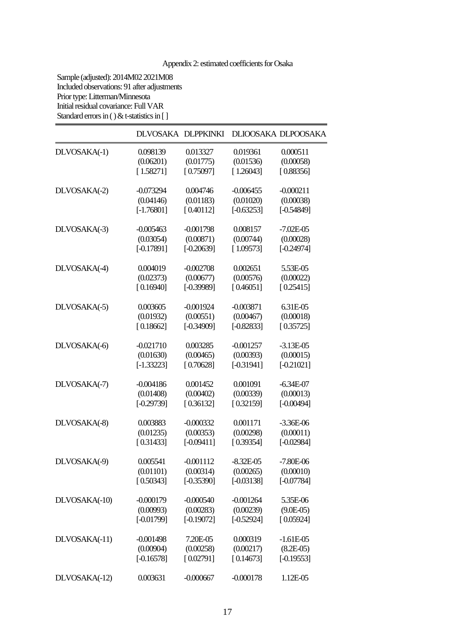# Appendix 2: estimated coefficients for Osaka

Sample (adjusted): 2014M02 2021M08 Included observations: 91 after adjustments Prior type: Litterman/Minnesota Initial residual covariance: Full VAR Standard errors in  $() &$  t-statistics in [ ]

|               | DLVOSAKA DLPPKINKI |              |               | DLIOOSAKA DLPOOSAKA |
|---------------|--------------------|--------------|---------------|---------------------|
| DLVOSAKA(-1)  | 0.098139           | 0.013327     | 0.019361      | 0.000511            |
|               | (0.06201)          | (0.01775)    | (0.01536)     | (0.00058)           |
|               | [1.58271]          | [0.75097]    | [1.26043]     | [0.88356]           |
| DLVOSAKA(-2)  | $-0.073294$        | 0.004746     | $-0.006455$   | $-0.000211$         |
|               | (0.04146)          | (0.01183)    | (0.01020)     | (0.00038)           |
|               | $[-1.76801]$       | [0.40112]    | $[-0.63253]$  | $[-0.54849]$        |
| DLVOSAKA(-3)  | $-0.005463$        | $-0.001798$  | 0.008157      | $-7.02E - 05$       |
|               | (0.03054)          | (0.00871)    | (0.00744)     | (0.00028)           |
|               | $[-0.17891]$       | $[-0.20639]$ | [1.09573]     | $[-0.24974]$        |
| DLVOSAKA(-4)  | 0.004019           | $-0.002708$  | 0.002651      | 5.53E-05            |
|               | (0.02373)          | (0.00677)    | (0.00576)     | (0.00022)           |
|               | [0.16940]          | $[-0.39989]$ | [0.46051]     | [0.25415]           |
| DLVOSAKA(-5)  | 0.003605           | $-0.001924$  | $-0.003871$   | 6.31E-05            |
|               | (0.01932)          | (0.00551)    | (0.00467)     | (0.00018)           |
|               | [0.18662]          | $[-0.34909]$ | $[-0.82833]$  | [0.35725]           |
| DLVOSAKA(-6)  | $-0.021710$        | 0.003285     | $-0.001257$   | $-3.13E - 05$       |
|               | (0.01630)          | (0.00465)    | (0.00393)     | (0.00015)           |
|               | $[-1.33223]$       | [0.70628]    | $[-0.31941]$  | $[-0.21021]$        |
| DLVOSAKA(-7)  | $-0.004186$        | 0.001452     | 0.001091      | $-6.34E-07$         |
|               | (0.01408)          | (0.00402)    | (0.00339)     | (0.00013)           |
|               | $[-0.29739]$       | [0.36132]    | [0.32159]     | $[-0.00494]$        |
| DLVOSAKA(-8)  | 0.003883           | $-0.000332$  | 0.001171      | $-3.36E-06$         |
|               | (0.01235)          | (0.00353)    | (0.00298)     | (0.00011)           |
|               | [0.31433]          | $[-0.09411]$ | [0.39354]     | $[-0.02984]$        |
| DLVOSAKA(-9)  | 0.005541           | $-0.001112$  | $-8.32E - 05$ | $-7.80E-06$         |
|               | (0.01101)          | (0.00314)    | (0.00265)     | (0.00010)           |
|               | [0.50343]          | $[-0.35390]$ | $[-0.03138]$  | $[-0.07784]$        |
| DLVOSAKA(-10) | $-0.000179$        | $-0.000540$  | $-0.001264$   | 5.35E-06            |
|               | (0.00993)          | (0.00283)    | (0.00239)     | $(9.0E-05)$         |
|               | $[-0.01799]$       | $[-0.19072]$ | $[-0.52924]$  | [0.05924]           |
| DLVOSAKA(-11) | $-0.001498$        | 7.20E-05     | 0.000319      | $-1.61E-05$         |
|               | (0.00904)          | (0.00258)    | (0.00217)     | $(8.2E-05)$         |
|               | $[-0.16578]$       | [0.02791]    | [0.14673]     | $[-0.19553]$        |
| DLVOSAKA(-12) | 0.003631           | $-0.000667$  | $-0.000178$   | 1.12E-05            |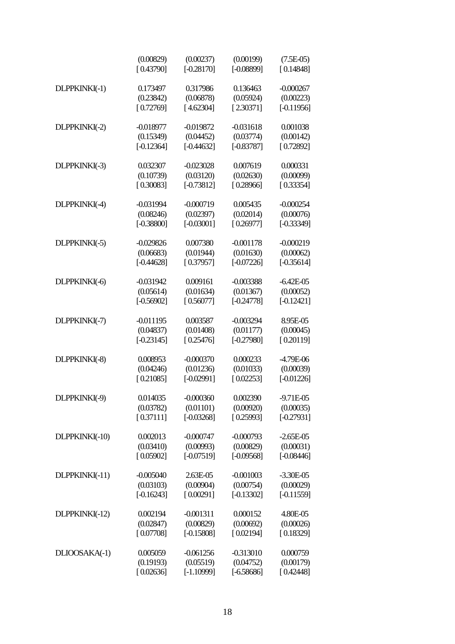|                | (0.00829)<br>[0.43790] | (0.00237)<br>$[-0.28170]$ | (0.00199)<br>$[-0.08899]$ | $(7.5E-05)$<br>[0.14848] |
|----------------|------------------------|---------------------------|---------------------------|--------------------------|
| DLPPKINKI(-1)  | 0.173497               | 0.317986                  | 0.136463                  | $-0.000267$              |
|                | (0.23842)              | (0.06878)                 | (0.05924)                 | (0.00223)                |
|                | [0.72769]              | [4.62304]                 | [2.30371]                 | $[-0.11956]$             |
| DLPPKINKI(-2)  | $-0.018977$            | $-0.019872$               | $-0.031618$               | 0.001038                 |
|                | (0.15349)              | (0.04452)                 | (0.03774)                 | (0.00142)                |
|                | $[-0.12364]$           | $[-0.44632]$              | $[-0.83787]$              | [0.72892]                |
| DLPPKINKI(-3)  | 0.032307               | $-0.023028$               | 0.007619                  | 0.000331                 |
|                | (0.10739)              | (0.03120)                 | (0.02630)                 | (0.00099)                |
|                | [0.30083]              | $[-0.73812]$              | [0.28966]                 | [0.33354]                |
| DLPPKINKI(-4)  | $-0.031994$            | $-0.000719$               | 0.005435                  | $-0.000254$              |
|                | (0.08246)              | (0.02397)                 | (0.02014)                 | (0.00076)                |
|                | $[-0.38800]$           | $[-0.03001]$              | [0.26977]                 | $[-0.33349]$             |
| DLPPKINKI(-5)  | $-0.029826$            | 0.007380                  | $-0.001178$               | $-0.000219$              |
|                | (0.06683)              | (0.01944)                 | (0.01630)                 | (0.00062)                |
|                | $[-0.44628]$           | [0.37957]                 | $[-0.07226]$              | $[-0.35614]$             |
| DLPPKINKI(-6)  | $-0.031942$            | 0.009161                  | $-0.003388$               | $-6.42E - 05$            |
|                | (0.05614)              | (0.01634)                 | (0.01367)                 | (0.00052)                |
|                | $[-0.56902]$           | [0.56077]                 | $[-0.24778]$              | $[-0.12421]$             |
| DLPPKINKI(-7)  | $-0.011195$            | 0.003587                  | $-0.003294$               | 8.95E-05                 |
|                | (0.04837)              | (0.01408)                 | (0.01177)                 | (0.00045)                |
|                | $[-0.23145]$           | [0.25476]                 | $[-0.27980]$              | [0.20119]                |
| DLPPKINKI(-8)  | 0.008953               | $-0.000370$               | 0.000233                  | $-4.79E-06$              |
|                | (0.04246)              | (0.01236)                 | (0.01033)                 | (0.00039)                |
|                | [0.21085]              | $[-0.02991]$              | [0.02253]                 | $[-0.01226]$             |
| DLPPKINKI(-9)  | 0.014035               | $-0.000360$               | 0.002390                  | $-9.71E-05$              |
|                | (0.03782)              | (0.01101)                 | (0.00920)                 | (0.00035)                |
|                | [0.37111]              | $[-0.03268]$              | [0.25993]                 | $[-0.27931]$             |
| DLPPKINKI(-10) | 0.002013               | $-0.000747$               | $-0.000793$               | $-2.65E-05$              |
|                | (0.03410)              | (0.00993)                 | (0.00829)                 | (0.00031)                |
|                | [0.05902]              | $[-0.07519]$              | $[-0.09568]$              | $[-0.08446]$             |
| DLPPKINKI(-11) | $-0.005040$            | 2.63E-05                  | $-0.001003$               | $-3.30E - 05$            |
|                | (0.03103)              | (0.00904)                 | (0.00754)                 | (0.00029)                |
|                | $[-0.16243]$           | [0.00291]                 | $[-0.13302]$              | $[-0.11559]$             |
| DLPPKINKI(-12) | 0.002194               | $-0.001311$               | 0.000152                  | 4.80E-05                 |
|                | (0.02847)              | (0.00829)                 | (0.00692)                 | (0.00026)                |
|                | [0.07708]              | $[-0.15808]$              | [0.02194]                 | [0.18329]                |
| DLIOOSAKA(-1)  | 0.005059               | $-0.061256$               | $-0.313010$               | 0.000759                 |
|                | (0.19193)              | (0.05519)                 | (0.04752)                 | (0.00179)                |
|                | [0.02636]              | $[-1.10999]$              | $[-6.58686]$              | [0.42448]                |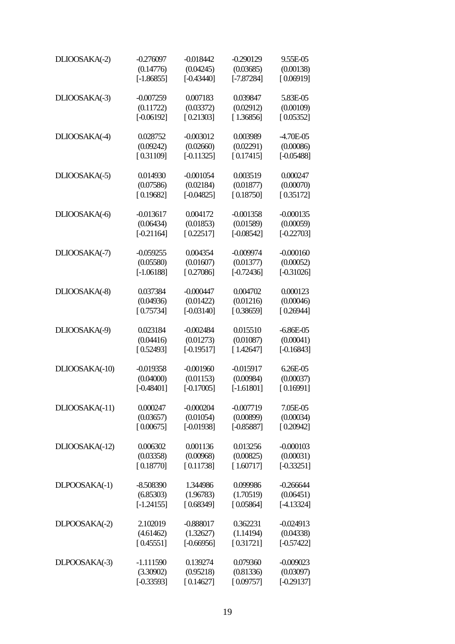| DLIOOSAKA(-2)  | $-0.276097$  | $-0.018442$  | $-0.290129$  | 9.55E-05     |
|----------------|--------------|--------------|--------------|--------------|
|                | (0.14776)    | (0.04245)    | (0.03685)    | (0.00138)    |
|                | $[-1.86855]$ | $[-0.43440]$ | $[-7.87284]$ | [0.06919]    |
| DLIOOSAKA(-3)  | $-0.007259$  | 0.007183     | 0.039847     | 5.83E-05     |
|                | (0.11722)    | (0.03372)    | (0.02912)    | (0.00109)    |
|                | $[-0.06192]$ | [0.21303]    | [1.36856]    | [0.05352]    |
| DLIOOSAKA(-4)  | 0.028752     | $-0.003012$  | 0.003989     | -4.70E-05    |
|                | (0.09242)    | (0.02660)    | (0.02291)    | (0.00086)    |
|                | [0.31109]    | $[-0.11325]$ | [0.17415]    | $[-0.05488]$ |
| DLIOOSAKA(-5)  | 0.014930     | $-0.001054$  | 0.003519     | 0.000247     |
|                | (0.07586)    | (0.02184)    | (0.01877)    | (0.00070)    |
|                | [0.19682]    | $[-0.04825]$ | [0.18750]    | [0.35172]    |
| DLIOOSAKA(-6)  | $-0.013617$  | 0.004172     | $-0.001358$  | $-0.000135$  |
|                | (0.06434)    | (0.01853)    | (0.01589)    | (0.00059)    |
|                | $[-0.21164]$ | [0.22517]    | $[-0.08542]$ | $[-0.22703]$ |
| DLIOOSAKA(-7)  | $-0.059255$  | 0.004354     | $-0.009974$  | $-0.000160$  |
|                | (0.05580)    | (0.01607)    | (0.01377)    | (0.00052)    |
|                | $[-1.06188]$ | [0.27086]    | $[-0.72436]$ | $[-0.31026]$ |
| DLIOOSAKA(-8)  | 0.037384     | $-0.000447$  | 0.004702     | 0.000123     |
|                | (0.04936)    | (0.01422)    | (0.01216)    | (0.00046)    |
|                | [0.75734]    | $[-0.03140]$ | [0.38659]    | [0.26944]    |
| DLIOOSAKA(-9)  | 0.023184     | $-0.002484$  | 0.015510     | $-6.86E-05$  |
|                | (0.04416)    | (0.01273)    | (0.01087)    | (0.00041)    |
|                | [0.52493]    | $[-0.19517]$ | [1.42647]    | $[-0.16843]$ |
| DLIOOSAKA(-10) | $-0.019358$  | $-0.001960$  | $-0.015917$  | 6.26E-05     |
|                | (0.04000)    | (0.01153)    | (0.00984)    | (0.00037)    |
|                | $[-0.48401]$ | $[-0.17005]$ | $[-1.61801]$ | [0.16991]    |
| DLIOOSAKA(-11) | 0.000247     | $-0.000204$  | $-0.007719$  | 7.05E-05     |
|                | (0.03657)    | (0.01054)    | (0.00899)    | (0.00034)    |
|                | [0.00675]    | $[-0.01938]$ | $[-0.85887]$ | [0.20942]    |
| DLIOOSAKA(-12) | 0.006302     | 0.001136     | 0.013256     | $-0.000103$  |
|                | (0.03358)    | (0.00968)    | (0.00825)    | (0.00031)    |
|                | [0.18770]    | [0.11738]    | [1.60717]    | $[-0.33251]$ |
| DLPOOSAKA(-1)  | $-8.508390$  | 1.344986     | 0.099986     | $-0.266644$  |
|                | (6.85303)    | (1.96783)    | (1.70519)    | (0.06451)    |
|                | $[-1.24155]$ | [0.68349]    | [0.05864]    | $[-4.13324]$ |
| DLPOOSAKA(-2)  | 2.102019     | $-0.888017$  | 0.362231     | $-0.024913$  |
|                | (4.61462)    | (1.32627)    | (1.14194)    | (0.04338)    |
|                | [0.45551]    | $[-0.66956]$ | [0.31721]    | $[-0.57422]$ |
| DLPOOSAKA(-3)  | $-1.111590$  | 0.139274     | 0.079360     | $-0.009023$  |
|                | (3.30902)    | (0.95218)    | (0.81336)    | (0.03097)    |
|                | $[-0.33593]$ | [0.14627]    | [0.09757]    | $[-0.29137]$ |